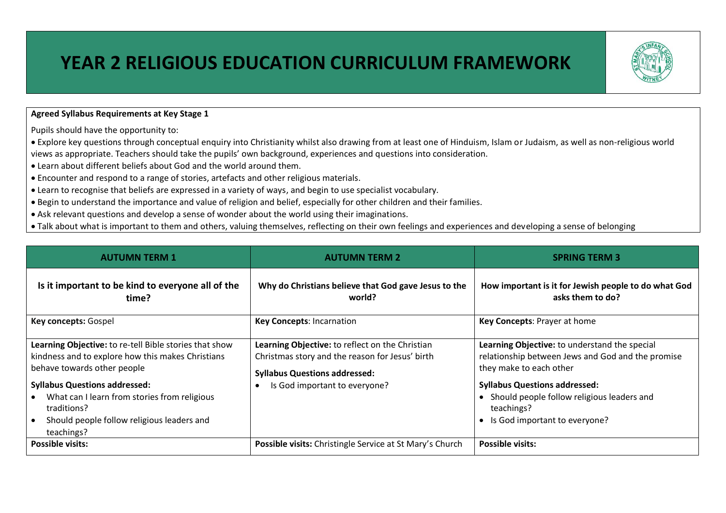## **YEAR 2 RELIGIOUS EDUCATION CURRICULUM FRAMEWORK**



Pupils should have the opportunity to:

• Explore key questions through conceptual enquiry into Christianity whilst also drawing from at least one of Hinduism, Islam or Judaism, as well as non-religious world views as appropriate. Teachers should take the pupils' own background, experiences and questions into consideration.

- Learn about different beliefs about God and the world around them.
- Encounter and respond to a range of stories, artefacts and other religious materials.
- Learn to recognise that beliefs are expressed in a variety of ways, and begin to use specialist vocabulary.
- Begin to understand the importance and value of religion and belief, especially for other children and their families.
- Ask relevant questions and develop a sense of wonder about the world using their imaginations.
- Talk about what is important to them and others, valuing themselves, reflecting on their own feelings and experiences and developing a sense of belonging

| <b>AUTUMN TERM 1</b>                                                                                                                                                                                                                                                                                          | <b>AUTUMN TERM 2</b>                                                                                                                                                        | <b>SPRING TERM 3</b>                                                                                                                                                                                                                                                            |  |
|---------------------------------------------------------------------------------------------------------------------------------------------------------------------------------------------------------------------------------------------------------------------------------------------------------------|-----------------------------------------------------------------------------------------------------------------------------------------------------------------------------|---------------------------------------------------------------------------------------------------------------------------------------------------------------------------------------------------------------------------------------------------------------------------------|--|
| Is it important to be kind to everyone all of the<br>time?                                                                                                                                                                                                                                                    | Why do Christians believe that God gave Jesus to the<br>world?                                                                                                              | How important is it for Jewish people to do what God<br>asks them to do?                                                                                                                                                                                                        |  |
| Key concepts: Gospel<br><b>Key Concepts: Incarnation</b>                                                                                                                                                                                                                                                      |                                                                                                                                                                             | Key Concepts: Prayer at home                                                                                                                                                                                                                                                    |  |
| Learning Objective: to re-tell Bible stories that show<br>kindness and to explore how this makes Christians<br>behave towards other people<br><b>Syllabus Questions addressed:</b><br>What can I learn from stories from religious<br>traditions?<br>Should people follow religious leaders and<br>teachings? | Learning Objective: to reflect on the Christian<br>Christmas story and the reason for Jesus' birth<br><b>Syllabus Questions addressed:</b><br>Is God important to everyone? | Learning Objective: to understand the special<br>relationship between Jews and God and the promise<br>they make to each other<br><b>Syllabus Questions addressed:</b><br>Should people follow religious leaders and<br>$\bullet$<br>teachings?<br>Is God important to everyone? |  |
| <b>Possible visits:</b>                                                                                                                                                                                                                                                                                       | Possible visits: Christingle Service at St Mary's Church                                                                                                                    | <b>Possible visits:</b>                                                                                                                                                                                                                                                         |  |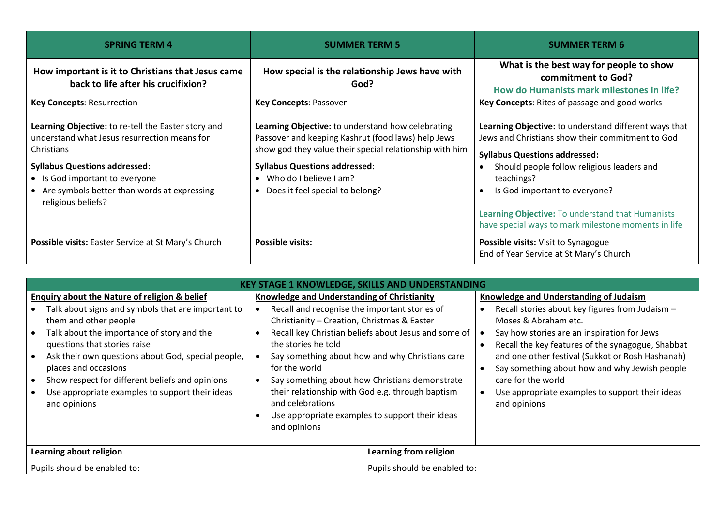| <b>SPRING TERM 4</b>                                                                                                                                                                                                                                               | <b>SUMMER TERM 5</b>                                                                                                                                                                                                                                                                | <b>SUMMER TERM 6</b>                                                                                                                                                                                                                                                                                                                                                   |  |
|--------------------------------------------------------------------------------------------------------------------------------------------------------------------------------------------------------------------------------------------------------------------|-------------------------------------------------------------------------------------------------------------------------------------------------------------------------------------------------------------------------------------------------------------------------------------|------------------------------------------------------------------------------------------------------------------------------------------------------------------------------------------------------------------------------------------------------------------------------------------------------------------------------------------------------------------------|--|
| How important is it to Christians that Jesus came<br>back to life after his crucifixion?                                                                                                                                                                           | How special is the relationship Jews have with<br>God?                                                                                                                                                                                                                              | What is the best way for people to show<br>commitment to God?<br>How do Humanists mark milestones in life?                                                                                                                                                                                                                                                             |  |
| <b>Key Concepts: Resurrection</b>                                                                                                                                                                                                                                  | <b>Key Concepts: Passover</b>                                                                                                                                                                                                                                                       | Key Concepts: Rites of passage and good works                                                                                                                                                                                                                                                                                                                          |  |
| Learning Objective: to re-tell the Easter story and<br>understand what Jesus resurrection means for<br>Christians<br><b>Syllabus Questions addressed:</b><br>• Is God important to everyone<br>• Are symbols better than words at expressing<br>religious beliefs? | Learning Objective: to understand how celebrating<br>Passover and keeping Kashrut (food laws) help Jews<br>show god they value their special relationship with him<br><b>Syllabus Questions addressed:</b><br>Who do I believe Lam?<br>Does it feel special to belong?<br>$\bullet$ | Learning Objective: to understand different ways that<br>Jews and Christians show their commitment to God<br><b>Syllabus Questions addressed:</b><br>Should people follow religious leaders and<br>teachings?<br>Is God important to everyone?<br>$\bullet$<br>Learning Objective: To understand that Humanists<br>have special ways to mark milestone moments in life |  |
| Possible visits: Easter Service at St Mary's Church                                                                                                                                                                                                                | <b>Possible visits:</b>                                                                                                                                                                                                                                                             | <b>Possible visits:</b> Visit to Synagogue<br>End of Year Service at St Mary's Church                                                                                                                                                                                                                                                                                  |  |

| <b>KEY STAGE 1 KNOWLEDGE, SKILLS AND UNDERSTANDING</b>                                                                                                                                                                                                                                                                                                                                                                    |                                                                                                                                                                                                                                                                                                                                                                                                                                                                                             |                                                                                                                                                                                                                                                                                                                                                                                                                                  |  |  |  |  |
|---------------------------------------------------------------------------------------------------------------------------------------------------------------------------------------------------------------------------------------------------------------------------------------------------------------------------------------------------------------------------------------------------------------------------|---------------------------------------------------------------------------------------------------------------------------------------------------------------------------------------------------------------------------------------------------------------------------------------------------------------------------------------------------------------------------------------------------------------------------------------------------------------------------------------------|----------------------------------------------------------------------------------------------------------------------------------------------------------------------------------------------------------------------------------------------------------------------------------------------------------------------------------------------------------------------------------------------------------------------------------|--|--|--|--|
| <b>Enquiry about the Nature of religion &amp; belief</b><br>Talk about signs and symbols that are important to<br>them and other people<br>Talk about the importance of story and the<br>questions that stories raise<br>Ask their own questions about God, special people,<br>places and occasions<br>Show respect for different beliefs and opinions<br>Use appropriate examples to support their ideas<br>and opinions | Knowledge and Understanding of Christianity<br>Recall and recognise the important stories of<br>Christianity - Creation, Christmas & Easter<br>Recall key Christian beliefs about Jesus and some of<br>the stories he told<br>Say something about how and why Christians care<br>for the world<br>Say something about how Christians demonstrate<br>their relationship with God e.g. through baptism<br>and celebrations<br>Use appropriate examples to support their ideas<br>and opinions | Knowledge and Understanding of Judaism<br>Recall stories about key figures from Judaism -<br>Moses & Abraham etc.<br>Say how stories are an inspiration for Jews<br>Recall the key features of the synagogue, Shabbat<br>and one other festival (Sukkot or Rosh Hashanah)<br>Say something about how and why Jewish people<br>$\bullet$<br>care for the world<br>Use appropriate examples to support their ideas<br>and opinions |  |  |  |  |
| Learning about religion                                                                                                                                                                                                                                                                                                                                                                                                   |                                                                                                                                                                                                                                                                                                                                                                                                                                                                                             | Learning from religion                                                                                                                                                                                                                                                                                                                                                                                                           |  |  |  |  |
| Pupils should be enabled to:                                                                                                                                                                                                                                                                                                                                                                                              |                                                                                                                                                                                                                                                                                                                                                                                                                                                                                             | Pupils should be enabled to:                                                                                                                                                                                                                                                                                                                                                                                                     |  |  |  |  |